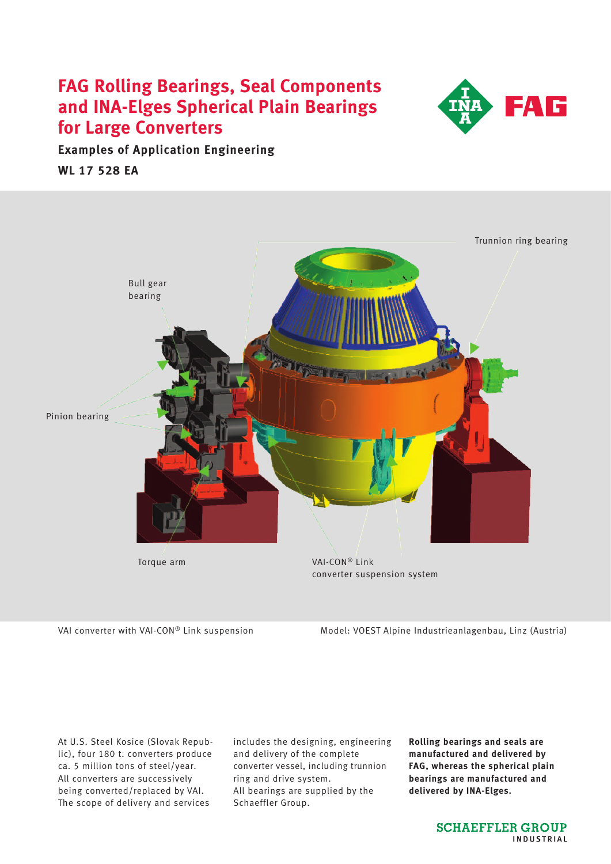# **FAG Rolling Bearings, Seal Components and INA-Elges Spherical Plain Bearings for Large Converters**



**Examples of Application Engineering WL 17 528 EA**



VAI converter with VAI-CON® Link suspension Model: VOEST Alpine Industrieanlagenbau, Linz (Austria)

At U.S. Steel Kosice (Slovak Republic), four 180 t. converters produce ca. 5 million tons of steel/year. All converters are successively being converted/replaced by VAI. The scope of delivery and services

includes the designing, engineering and delivery of the complete converter vessel, including trunnion ring and drive system. All bearings are supplied by the Schaeffler Group.

**Rolling bearings and seals are manufactured and delivered by FAG, whereas the spherical plain bearings are manufactured and delivered by INA-Elges.**

> **SCHAEFFLER GROUP** INDUSTRIAL